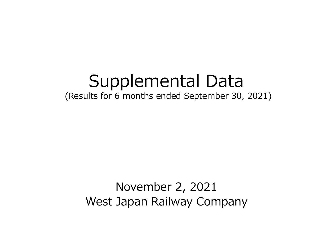# Supplemental Data

(Results for 6 months ended September 30, 2021)

November 2, 2021 West Japan Railway Company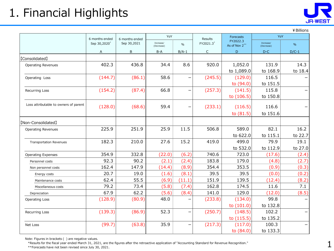# 1. Financial Highlights



|                                       |                |                |                         |               |              |                           |                         | ¥ Billions    |
|---------------------------------------|----------------|----------------|-------------------------|---------------|--------------|---------------------------|-------------------------|---------------|
|                                       | 6 months ended | 6 months ended | YoY                     |               | Results      | <b>Forecasts</b>          | YoY                     |               |
|                                       | Sep 30,2020    | Sep 30,2021    | Increase/<br>(Decrease) | $\frac{0}{0}$ | FY2021.3*    | FY2022.3<br>As of Nov 2** | Increase/<br>(Decrease) | $\frac{0}{0}$ |
|                                       | A              | B              | $B-A$                   | $B/A-1$       | $\mathsf{C}$ | D                         | $D-C$                   | $D/C-1$       |
| <b>[Consolidated]</b>                 |                |                |                         |               |              |                           |                         |               |
| <b>Operating Revenues</b>             | 402.3          | 436.8          | 34.4                    | 8.6           | 920.0        | 1,052.0                   | 131.9                   | 14.3          |
|                                       |                |                |                         |               |              | to 1,089.0                | to 168.9                | to 18.4       |
| Operating Loss                        | (144.7)        | (86.1)         | 58.6                    |               | (245.5)      | (129.0)                   | 116.5                   |               |
|                                       |                |                |                         |               |              | to (94.0)                 | to 151.5                |               |
| <b>Recurring Loss</b>                 | (154.2)        | (87.4)         | 66.8                    | —             | (257.3)      | (141.5)                   | 115.8                   |               |
|                                       |                |                |                         |               |              | to (106.5)                | to 150.8                |               |
| Loss attributable to owners of parent | (128.0)        | (68.6)         | 59.4                    |               | (233.1)      | (116.5)                   | 116.6                   |               |
|                                       |                |                |                         |               |              | to $(81.5)$               | to 151.6                |               |
|                                       |                |                |                         |               |              |                           |                         |               |
| [Non-Consolidated]                    |                |                |                         |               |              |                           |                         |               |
| <b>Operating Revenues</b>             | 225.9          | 251.9          | 25.9                    | 11.5          | 506.8        | 589.0                     | 82.1                    | 16.2          |
|                                       |                |                |                         |               |              | to 622.0                  | to 115.1                | to 22.7       |
| <b>Transportation Revenues</b>        | 182.3          | 210.0          | 27.6                    | 15.2          | 419.0        | 499.0                     | 79.9                    | 19.1          |
|                                       |                |                |                         |               |              | to 532.0                  | to 112.9                | to 27.0       |
| <b>Operating Expenses</b>             | 354.9          | 332.8          | (22.0)                  | (6.2)         | 740.6        | 723.0                     | (17.6)                  | (2.4)         |
| Personnel costs                       | 92.3           | 90.2           | (2.1)                   | (2.4)         | 183.8        | 179.0                     | (4.8)                   | (2.7)         |
| Non personnel costs                   | 162.4          | 147.9          | (14.4)                  | (8.9)         | 354.4        | 353.5                     | (0.9)                   | (0.3)         |
| Energy costs                          | 20.7           | 19.0           | (1.6)                   | (8.1)         | 39.5         | 39.5                      | (0.0)                   | (0.2)         |
| Maintenance costs                     | 62.4           | 55.5           | (6.9)                   | (11.1)        | 151.9        | 139.5                     | (12.4)                  | (8.2)         |
| Miscellaneous costs                   | 79.2           | 73.4           | (5.8)                   | (7.4)         | 162.8        | 174.5                     | 11.6                    | 7.1           |
| Depreciation                          | 67.9           | 62.2           | (5.6)                   | (8.4)         | 141.0        | 129.0                     | (12.0)                  | (8.5)         |
| Operating Loss                        | (128.9)        | (80.9)         | 48.0                    |               | (233.8)      | (134.0)                   | 99.8                    |               |
|                                       |                |                |                         |               |              | to (101.0)                | to 132.8                |               |
| Recurring Loss                        | (139.3)        | (86.9)         | 52.3                    | ╾             | (250.7)      | (148.5)                   | 102.2                   |               |
|                                       |                |                |                         |               |              | to (115.5)                | to 135.2                |               |
| Net Loss                              | (99.7)         | (63.8)         | 35.9                    |               | (217.3)      | (117.0)                   | 100.3                   |               |
|                                       |                |                |                         |               |              | to (84.0)                 | to 133.3                |               |

Note: Figures in brackets ( ) are negative values.

\*Results for the fiscal year ended March 31, 2021, are the figures after the retroactive application of "Accounting Standard for Revenue Recognition."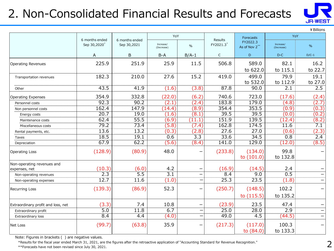# 2. Non-Consolidated Financial Results and Forecasts



¥Billions

|                                    |                                            |                               | YoY                     |                          |                      | Forecasts                 | YoY                     |                          |
|------------------------------------|--------------------------------------------|-------------------------------|-------------------------|--------------------------|----------------------|---------------------------|-------------------------|--------------------------|
|                                    | 6 months ended<br>Sep 30,2020 <sup>*</sup> | 6 months ended<br>Sep 30,2021 | Increase/<br>(Decrease) | $\frac{0}{0}$            | Results<br>FY2021.3* | FY2022.3<br>As of Nov 2** | Increase/<br>(Decrease) | $\%$                     |
|                                    | Α                                          | B                             | $B-A$                   | $B/A-1$                  | $\mathsf{C}$         | $\mathsf D$               | $D-C$                   | $D/C-1$                  |
| <b>Operating Revenues</b>          | 225.9                                      | 251.9                         | 25.9                    | 11.5                     | 506.8                | 589.0                     | 82.1                    | 16.2                     |
|                                    |                                            |                               |                         |                          |                      | to 622.0                  | to 115.1                | to 22.7                  |
| Transportation revenues            | 182.3                                      | 210.0                         | 27.6                    | 15.2                     | 419.0                | 499.0                     | 79.9                    | 19.1                     |
|                                    |                                            |                               |                         |                          |                      | to 532.0                  | to 112.9                | to 27.0                  |
| Other                              | 43.5                                       | 41.9                          | (1.6)                   | (3.8)                    | 87.8                 | 90.0                      | 2.1                     | 2.5                      |
| <b>Operating Expenses</b>          | 354.9                                      | 332.8                         | (22.0)                  | (6.2)                    | 740.6                | 723.0                     | (17.6)                  | (2.4)                    |
| Personnel costs                    | 92.3                                       | 90.2                          | (2.1)                   | (2.4)                    | 183.8                | 179.0                     | (4.8)                   | (2.7)                    |
| Non personnel costs                | 162.4                                      | 147.9                         | (14.4)                  | (8.9)                    | 354.4                | 353.5                     | (0.9)                   | (0.3)                    |
| Energy costs                       | 20.7                                       | 19.0                          | (1.6)                   | (8.1)                    | 39.5                 | 39.5                      | (0.0)                   | (0.2)                    |
| Maintenance costs                  | 62.4                                       | 55.5                          | (6.9)                   | (11.1)                   | 151.9                | 139.5                     | (12.4)                  | (8.2)                    |
| Miscellaneous costs                | 79.2                                       | 73.4                          | (5.8)                   | (7.4)                    | 162.8                | 174.5                     | 11.6                    | 7.1                      |
| Rental payments, etc.              | 13.6                                       | 13.2                          | (0.3)                   | (2.8)                    | 27.6                 | 27.0                      | (0.6)                   | (2.3)                    |
| Taxes                              | 18.5                                       | 19.1                          | 0.6                     | 3.3                      | 33.6                 | 34.5                      | 0.8                     | 2.4                      |
| Depreciation                       | 67.9                                       | 62.2                          | (5.6)                   | (8.4)                    | 141.0                | 129.0                     | (12.0)                  | (8.5)                    |
| <b>Operating Loss</b>              | (128.9)                                    | (80.9)                        | 48.0                    |                          | (233.8)              | (134.0)<br>to $(101.0)$   | 99.8<br>to 132.8        |                          |
| Non-operating revenues and         |                                            |                               |                         |                          |                      |                           |                         |                          |
| expenses, net                      | (10.3)                                     | (6.0)                         | 4.2                     |                          | (16.9)               | (14.5)                    | 2.4                     |                          |
| Non-operating revenues             | 2.3                                        | $\overline{5.5}$              | 3.1                     | $\overline{\phantom{0}}$ | 8.4                  | 9.0                       | 0.5                     |                          |
| Non-operating expenses             | 12.7                                       | 11.6                          | (1.0)                   | $\overline{\phantom{0}}$ | 25.3                 | 23.5                      | (1.8)                   |                          |
| <b>Recurring Loss</b>              | (139.3)                                    | (86.9)                        | 52.3                    |                          | (250.7)              | (148.5)                   | 102.2                   |                          |
|                                    |                                            |                               |                         |                          |                      | to $(115.5)$              | to 135.2                |                          |
| Extraordinary profit and loss, net | (3.3)                                      | 7.4                           | 10.8                    | $\overline{\phantom{0}}$ | (23.9)               | 23.5                      | 47.4                    |                          |
| Extraordinary profit               | $\overline{5.0}$                           | 11.8                          | 6.7                     | $\overline{\phantom{0}}$ | 25.0                 | 28.0                      | 2.9                     | $\overline{\phantom{0}}$ |
| Extraordinary loss                 | 8.4                                        | 4.4                           | (4.0)                   | -                        | 49.0                 | $\overline{4.5}$          | (44.5)                  | $\qquad \qquad -$        |
| Net Loss                           | (99.7)                                     | (63.8)                        | 35.9                    |                          | (217.3)              | (117.0)<br>to $(84.0)$    | 100.3<br>to 133.3       |                          |

Note: Figures in brackets ( ) are negative values.

\*Results for the fiscal year ended March 31, 2021, are the figures after the retroactive application of "Accounting Standard for Revenue Recognition."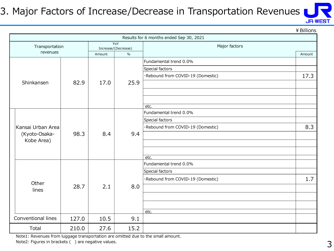#### 3. Major Factors of Increase/Decrease in Transportation Revenues



¥Billions

|                    |       |        |                            | Results for 6 months ended Sep 30, 2021 |        |
|--------------------|-------|--------|----------------------------|-----------------------------------------|--------|
| Transportation     |       |        | YoY<br>Increase/(Decrease) | Major factors                           |        |
| revenues           |       | Amount | $\frac{0}{0}$              |                                         | Amount |
|                    |       |        |                            | Fundamental trend 0.0%                  |        |
|                    |       |        |                            | Special factors                         |        |
|                    |       |        |                            | ·Rebound from COVID-19 (Domestic)       | 17.3   |
| Shinkansen         | 82.9  | 17.0   | 25.9                       |                                         |        |
|                    |       |        |                            |                                         |        |
|                    |       |        |                            |                                         |        |
|                    |       |        |                            | etc.                                    |        |
|                    |       |        |                            | Fundamental trend 0.0%                  |        |
|                    |       |        |                            | Special factors                         |        |
| Kansai Urban Area  |       |        |                            | ·Rebound from COVID-19 (Domestic)       | 8.3    |
| (Kyoto-Osaka-      | 98.3  | 8.4    | 9.4                        |                                         |        |
| Kobe Area)         |       |        |                            |                                         |        |
|                    |       |        |                            |                                         |        |
|                    |       |        |                            | etc.                                    |        |
|                    |       |        |                            | Fundamental trend 0.0%                  |        |
|                    |       |        |                            | Special factors                         |        |
| Other              |       |        |                            | ·Rebound from COVID-19 (Domestic)       | 1.7    |
| lines              | 28.7  | 2.1    | 8.0                        |                                         |        |
|                    |       |        |                            |                                         |        |
|                    |       |        |                            |                                         |        |
|                    |       |        |                            | etc.                                    |        |
| Conventional lines | 127.0 | 10.5   | 9.1                        |                                         |        |
| Total              | 210.0 | 27.6   | 15.2                       |                                         |        |

Note1: Revenues from luggage transportation are omitted due to the small amount.

Note2: Figures in brackets () are negative values.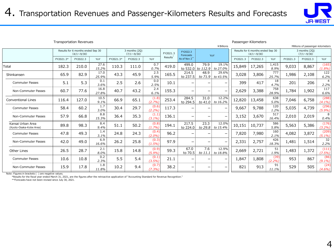

Transportation Revenues Passenger-Kilometers

|                                              |           |                                                        |               |           |                                    |                    |                      |                          | ¥ Billions                | Millions of passenger-kilometers |          |                                                        |                |          |                                    |                        |
|----------------------------------------------|-----------|--------------------------------------------------------|---------------|-----------|------------------------------------|--------------------|----------------------|--------------------------|---------------------------|----------------------------------|----------|--------------------------------------------------------|----------------|----------|------------------------------------|------------------------|
|                                              |           | Results for 6 months ended Sep 30<br>$(4/1 \sim 9/30)$ |               |           | 3 months (2Q)<br>$(7/1 \sim 9/30)$ |                    | FY2021.3             | FY2022.3<br>Forecasts    |                           | YoY                              |          | Results for 6 months ended Sep 30<br>$(4/1 \sim 9/30)$ |                |          | 3 months (2Q)<br>$(7/1 \sim 9/30)$ |                        |
|                                              | FY2021.3* | FY2022.3                                               | YoY           | FY2021.3* | FY2022.3                           | YoY                | Results <sup>®</sup> | As of Nov 2**            |                           |                                  | FY2021.3 | FY2022.3                                               | YoY            | FY2021.3 | FY2022.3                           | YoY                    |
| Total                                        | 182.3     | 210.0                                                  | 27.6<br>15.2% | 110.3     | 111.0                              | 0.7<br>0.7%        | 419.0                | 499.0                    | 79.9<br>to 532.0 to 112.9 | 19.1%<br>to 27.0%                | 15,849   | 17,265                                                 | 1,415<br>8.9%  | 9,033    | 8,867                              | (165)<br>(1.8%)        |
| Shinkansen                                   | 65.9      | 82.9                                                   | 17.0<br>25.9% | 43.3      | 45.9                               | 2.5<br>5.9%        | 165.5                | 214.5<br>to 237.5        | 48.9<br>to 71.9           | 29.6%<br>to 43.5%                | 3,028    | 3,806                                                  | 777<br>25.7%   | 1,986    | 2,108                              | 122<br>6.2%            |
| <b>Commuter Passes</b>                       | 5.1       | 5.3                                                    | 0.1<br>3.6%   | 2.5       | 2.6                                | 0.0<br>2.5%        | 10.1                 | -                        | $\overline{\phantom{0}}$  | $\qquad \qquad \blacksquare$     | 399      | 417                                                    | 18<br>4.7%     | 201      | 206                                | $\overline{4}$<br>2.2% |
| Non-Commuter Passes                          | 60.7      | 77.6                                                   | 16.8<br>27.8% | 40.7      | 43.2                               | 2.4<br>6.1%        | 155.3                | -                        | $\overline{\phantom{0}}$  | $\overline{\phantom{0}}$         | 2,629    | 3,388                                                  | 758<br>28.9%   | 1,784    | 1,902                              | 117<br>6.6%            |
| <b>Conventional Lines</b>                    | 116.4     | 127.0                                                  | 10.5<br>9.1%  | 66.9      | 65.1                               | (1.8)<br>(2.7%)    | 253.4                | 284.5<br>to 294.5        | 31.0<br>to 41.0           | 12.2%<br>to 16.2%                | 12,820   | 13,458                                                 | 638<br>5.0%    | 7,046    | 6,758                              | (288)<br>$(4.1\%)$     |
| <b>Commuter Passes</b>                       | 58.4      | 60.2                                                   | 1.7<br>3.0%   | 30.4      | 29.7                               | (0.6)<br>(2.2%)    | 117.3                |                          |                           | $\qquad \qquad -$                | 9,667    | 9,788                                                  | 120<br>1.2%    | 5,035    | 4,739                              | (296)<br>(5.9%)        |
| Non-Commuter Passes                          | 57.9      | 66.8                                                   | 8.8<br>15.3%  | 36.4      | 35.3                               | (1.1)<br>$(3.1\%)$ | 136.1                |                          | -                         | $\overline{\phantom{m}}$         | 3,152    | 3,670                                                  | 517<br>16.4%   | 2,010    | 2,019                              | 8<br>0.4%              |
| Kansai Urban Area<br>(Kyoto-Osaka-Kobe Area) | 89.8      | 98.3                                                   | 8.4<br>9.4%   | 51.1      | 50.2                               | (0.8)<br>(1.7%)    | 194.1                | 217.5<br>to 224.0        | 23.3<br>to 29.8           | 12.0%<br>to 15.4%                | 10,151   | 10,737                                                 | 586<br>5.8%    | 5,563    | 5,386                              | (176)<br>(3.2%)        |
| <b>Commuter Passes</b>                       | 47.8      | 49.3                                                   | 1.4<br>3.1%   | 24.8      | 24.3                               | (0.4)<br>(2.0%)    | 96.2                 |                          | $\overline{\phantom{0}}$  | $\overline{\phantom{0}}$         | 7,820    | 7,980                                                  | 160<br>2.1%    | 4,082    | 3,872                              | (209)<br>$(5.1\%)$     |
| Non-Commuter Passes                          | 42.0      | 49.0                                                   | 6.9<br>16.6%  | 26.2      | 25.8                               | (0.3)<br>$(1.5\%)$ | 97.9                 | $\overline{\phantom{0}}$ | $\overline{\phantom{0}}$  | $\overline{\phantom{0}}$         | 2,331    | 2,757                                                  | 426<br>18.3%   | 1,481    | 1,514                              | 32<br>2.2%             |
| Other Lines                                  | 26.5      | 28.7                                                   | 2.1<br>8.0%   | 15.8      | 14.8                               | (0.9)<br>(5.9%)    | 59.3                 | 67.0<br>to 70.5          | 7.6<br>to 11.1            | 12.9%<br>to 18.8%                | 2,669    | 2,721                                                  | 51<br>1.9%     | 1,483    | 1,372                              | (111)<br>(7.5%)        |
| <b>Commuter Passes</b>                       | 10.6      | 10.8                                                   | 0.2<br>2.3%   | 5.5       | 5.4                                | (0.1)<br>(3.5%)    | 21.1                 | -                        | $\overline{\phantom{0}}$  | $\qquad \qquad -$                | 1,847    | 1,808                                                  | (39)<br>(2.2%) | 953      | 867                                | (86)<br>$(9.1\%)$      |
| Non-Commuter Passes                          | 15.9      | 17.8                                                   | 1.8<br>11.8%  | 10.2      | 9.4                                | (0.7)<br>$(7.3\%)$ | 38.2                 | -                        | $\overline{\phantom{0}}$  | $\overline{\phantom{m}}$         | 821      | 913                                                    | 91<br>11.1%    | 529      | 505                                | (24)<br>$(4.6\%)$      |

Note: Figures in brackets ( ) are negative values.

\*Results for the fiscal year ended March 31, 2021, are the figures after the retroactive application of "Accounting Standard for Revenue Recognition."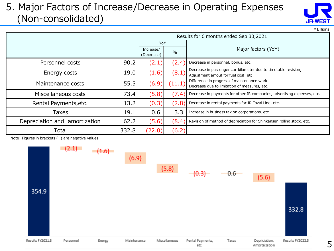#### 5. Major Factors of Increase/Decrease in Operating Expenses (Non-consolidated)



¥Billions

|                               |       |                         |        | Results for 6 months ended Sep 30,2021                                                                   |
|-------------------------------|-------|-------------------------|--------|----------------------------------------------------------------------------------------------------------|
|                               |       | YoY                     |        |                                                                                                          |
|                               |       | Increase/<br>(Decrease) | $\%$   | Major factors (YoY)                                                                                      |
| Personnel costs               | 90.2  | (2.1)                   | (2.4)  | ·Decrease in personnel, bonus, etc.                                                                      |
| Energy costs                  | 19.0  | (1.6)                   | (8.1)  | ·Decrease in passenger car-kilometer due to timetable revision,<br>·Adjustment amout for fuel cost, etc. |
| Maintenance costs             | 55.5  | (6.9)                   | (11.1) | ·Difference in progress of maintenance work<br>·Decrease due to limitation of measures, etc.             |
| Miscellaneous costs           | 73.4  | (5.8)                   | (7.4)  | $\cdot$ Decrease in payments for other JR companies, advertising expenses, etc.                          |
| Rental Payments, etc.         | 13.2  | (0.3)                   | (2.8)  | ·Decrease in rental payments for JR Tozai Line, etc.                                                     |
| <b>Taxes</b>                  | 19.1  | 0.6                     | 3.3    | · Increase in business tax on corporations, etc.                                                         |
| Depreciation and amortization | 62.2  | (5.6)                   |        | $(8.4)$ Revision of method of depreciation for Shinkansen rolling stock, etc.                            |
| Total                         | 332.8 | (22.0)                  | (6.2)  |                                                                                                          |

Note: Figures in brackets ( ) are negative values.

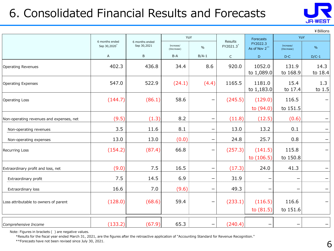## 6. Consolidated Financial Results and Forecasts



¥Billions

|                                          |                               |                               | YoY                     |                          | <b>Results</b>        | Forecasts                 | YoY                     |                 |
|------------------------------------------|-------------------------------|-------------------------------|-------------------------|--------------------------|-----------------------|---------------------------|-------------------------|-----------------|
|                                          | 6 months ended<br>Sep 30,2020 | 6 months ended<br>Sep 30,2021 | Increase/<br>(Decrease) | $\%$                     | FY2021.3 <sup>*</sup> | FY2022.3<br>As of Nov 2** | Increase/<br>(Decrease) | $\%$            |
|                                          | A                             | B                             | B-A                     | $B/A-1$                  | $\mathsf C$           | D                         | $D-C$                   | $D/C-1$         |
| <b>Operating Revenues</b>                | 402.3                         | 436.8                         | 34.4                    | 8.6                      | 920.0                 | 1052.0<br>to 1,089.0      | 131.9<br>to 168.9       | 14.3<br>to 18.4 |
| <b>Operating Expenses</b>                | 547.0                         | 522.9                         | (24.1)                  | (4.4)                    | 1165.5                | 1181.0<br>to 1,183.0      | 15.4<br>to 17.4         | 1.3<br>to 1.5   |
| <b>Operating Loss</b>                    | (144.7)                       | (86.1)                        | 58.6                    | -                        | (245.5)               | (129.0)<br>to (94.0)      | 116.5<br>to 151.5       |                 |
| Non-operating revenues and expenses, net | (9.5)                         | (1.3)                         | 8.2                     | $\overline{\phantom{0}}$ | (11.8)                | (12.5)                    | (0.6)                   |                 |
| Non-operating revenues                   | 3.5                           | 11.6                          | 8.1                     |                          | 13.0                  | 13.2                      | 0.1                     |                 |
| Non-operating expenses                   | 13.0                          | 13.0                          | (0.0)                   |                          | 24.8                  | 25.7                      | 0.8                     |                 |
| <b>Recurring Loss</b>                    | (154.2)                       | (87.4)                        | 66.8                    | -                        | (257.3)               | (141.5)<br>to $(106.5)$   | 115.8<br>to 150.8       |                 |
| Extraordinary profit and loss, net       | (9.0)                         | 7.5                           | 16.5                    | -                        | (17.3)                | 24.0                      | 41.3                    |                 |
| Extraordinary profit                     | 7.5                           | 14.5                          | 6.9                     | -                        | 31.9                  |                           |                         |                 |
| Extraordinary loss                       | 16.6                          | 7.0                           | (9.6)                   | -                        | 49.3                  | $\overline{\phantom{0}}$  |                         |                 |
| Loss attributable to owners of parent    | (128.0)                       | (68.6)                        | 59.4                    | $\qquad \qquad -$        | (233.1)               | (116.5)<br>to $(81.5)$    | 116.6<br>to 151.6       |                 |
| Comprehensive Income                     | (133.2)                       | (67.9)                        | 65.3                    | $\qquad \qquad -$        | (240.4)               |                           |                         |                 |

Note: Figures in brackets ( ) are negative values.

\*Results for the fiscal year ended March 31, 2021, are the figures after the retroactive application of "Accounting Standard for Revenue Recognition."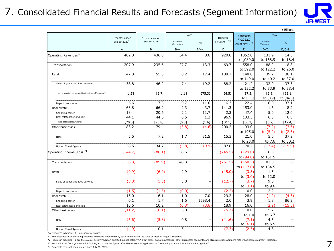#### 7. Consolidated Financial Results and Forecasts (Segment Information)



|                                                                 |                                             |                               |                     |                          |                       |                              |                     | ¥ Billions          |
|-----------------------------------------------------------------|---------------------------------------------|-------------------------------|---------------------|--------------------------|-----------------------|------------------------------|---------------------|---------------------|
|                                                                 | 6 months ended<br>Sep 30,2020 <sup>+3</sup> | 6 months ended<br>Sep 30,2021 | YoY<br>Increase/    | $\frac{0}{0}$            | Results<br>FY2021.3*3 | <b>Forecasts</b><br>FY2022.3 | YoY<br>Increase/    | $\frac{0}{0}$       |
|                                                                 | A                                           | B                             | (Decrease)<br>$B-A$ | $B/A-1$                  | $\mathsf{C}$          | As of Nov 2*4<br>D           | (Decrease)<br>$D-C$ | $D/C-1$             |
|                                                                 |                                             |                               |                     |                          |                       |                              |                     |                     |
| Operating Revenues <sup>*1</sup>                                | 402.3                                       | 436.8                         | 34.4                | 8.6                      | 920.0                 | 1052.0<br>to 1,089.0         | 131.9<br>to 168.9   | 14.3<br>to 18.4     |
| Transportation                                                  | 207.9                                       | 235.6                         | 27.7                | 13.3                     | 469.7                 | 558.0<br>to 592.0            | 88.2<br>to 122.2    | 18.8<br>to 26.0     |
| Retail                                                          | 47.3                                        | 55.5                          | 8.2                 | 17.4                     | 108.7                 | 148.0<br>to 149.0            | 39.2<br>to 40.2     | 36.1<br>to 37.0     |
| Sales of goods and food services                                | 38.8                                        | 46.2                          | 7.4                 | 19.2                     | 88.2                  | 121.2<br>to 122.2            | 32.9<br>to 33.9     | 37.3<br>to 38.4     |
| [Accommodation-oriented budget hotels] (restated) <sup>+2</sup> | [1.5]                                       | [2.7]                         | [1.1]               | [75.3]                   | [4.5]                 | [7.5]<br>to [8.5]            | [2.9]<br>to [3.9]   | [63.1]<br>to [84.8] |
| Department stores                                               | 6.6                                         | 7.3                           | 0.7                 | 11.6                     | 16.3                  | 22.4                         | 6.0                 | 37.1                |
| Real estate                                                     | 63.8                                        | 66.2                          | 2.3                 | 3.7                      | 141.3                 | 153.0                        | 11.6                | 8.2                 |
| Shopping center                                                 | 18.4                                        | 20.6                          | 2.1                 | 11.7                     | 42.3                  | 47.4                         | 5.0                 | 12.0                |
| Real estate lease and sale                                      | 44.1                                        | 44.6                          | 0.5                 | 1.2                      | 96.9                  | 103.5                        | 6.5                 | 6.8                 |
| [Real estate sale] (restated)                                   | [20.5]                                      | [20.8]                        | [0.3]               | [1.6]                    | [50.1]                | [56.3]                       | [6.2]               | [12.4]              |
| Other businesses                                                | 83.2                                        | 79.4                          | (3.8)               | (4.6)                    | 200.2                 | 193.0<br>to 195.0            | (7.2)<br>to $(5.2)$ | (3.6)<br>to (2.6)   |
| Hotel                                                           | 5.5                                         | 7.2                           | 1.7                 | 31.5                     | 15.3                  | 21.0<br>to 23.0              | 5.6<br>to 7.6       | 37.2<br>to 50.2     |
| Nippon Travel Agency                                            | 38.5                                        | 34.7                          | (3.8)               | (9.9)                    | 87.6                  | 70.2                         | (17.4)              | (19.9)              |
| Operating Income (Loss) <sup>*1</sup>                           | (144.7)                                     | (86.1)                        | 58.6                | $\overline{\phantom{0}}$ | (245.5)               | (129.0)<br>to (94.0)         | 116.5<br>to 151.5   |                     |
| Transportation                                                  | (138.3)                                     | (89.9)                        | 48.3                | $\overline{\phantom{0}}$ | (251.5)               | (150.5)<br>to (117.0)        | 101.0<br>to 134.5   |                     |
| Retail                                                          | (9.9)                                       | (6.9)                         | 2.9                 | $\overline{\phantom{0}}$ | (15.0)                | (3.5)<br>to (3.0)            | 11.5<br>to 12.0     |                     |
| Sales of goods and food services                                | (8.3)                                       | (5.3)                         | 3.0                 | $\overline{\phantom{0}}$ | (12.7)                | (3.7)<br>to $(3.1)$          | 9.0<br>to 9.6       |                     |
| Department stores                                               | (1.5)                                       | (1.5)                         | (0.0)               | $\overline{a}$           | (2.2)                 | 0.0                          | 2.2                 |                     |
| Real estate                                                     | 15.0                                        | 16.1                          | 1.0                 | 7.0                      | 29.2                  | 28.0                         | (1.2)               | (4.3)               |
| Shopping center                                                 | 0.1                                         | 1.7                           | 1.6                 | 1598.4                   | 2.0                   | 3.9                          | 1.8                 | 86.2                |
| Real estate lease and sale                                      | 10.6                                        | 10.2                          | (0.3)               | (3.6)                    | 18.9                  | 16.0                         | (2.9)               | (15.5)              |
| Other businesses                                                | (11.2)                                      | (6.1)                         | 5.0                 | $\overline{\phantom{0}}$ | (5.7)                 | 0.0<br>to 1.0                | 5.7<br>to 6.7       |                     |
| Hotel                                                           | (6.6)                                       | (5.8)                         | 0.8                 | $\overline{\phantom{0}}$ | (11.6)                | (7.1)<br>to $(6.1)$          | 4.5<br>to 5.5       |                     |
| Nippon Travel Agency                                            | (4.9)                                       | 0.1                           | 5.1                 |                          | (7.3)                 | (2.5)                        | 4.8                 |                     |

Note: Figures in brackets ( ) are negative values.

\*1 The breakdowns of operating revenues and operating income by each segment are the sums of those of major subsidiaries.

\*2 Figures in brackets 【 】 are the sales of accommodation-oriented budget hotel, "VIA INN", sales, excluding Asakusa (other businesses segment), and Hiroshima Kanayamacho (other businesses segment) locations.

\*3 Results for the fiscal year ended March 31, 2021, are the figures after the retroactive application of "Accounting Standard for Revenue Recognition."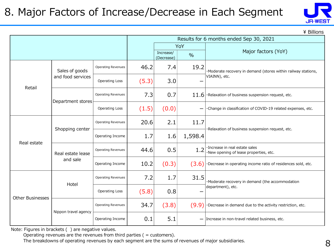## 8. Major Factors of Increase/Decrease in Each Segment



\ Billions

|                         |                      |                           |       |                         |               | Results for 6 months ended Sep 30, 2021                                  |  |  |
|-------------------------|----------------------|---------------------------|-------|-------------------------|---------------|--------------------------------------------------------------------------|--|--|
|                         |                      |                           |       |                         | YoY           |                                                                          |  |  |
|                         |                      |                           |       | Increase/<br>(Decrease) | $\frac{0}{0}$ | Major factors (YoY)                                                      |  |  |
|                         | Sales of goods       | <b>Operating Revenues</b> | 46.2  | 7.4                     | 19.2          | ·Moderate recovery in demand (stores within railway stations,            |  |  |
| Retail                  | and food services    | Operating Loss            | (5.3) | 3.0                     |               | VIAINN), etc.                                                            |  |  |
| Department stores       |                      | <b>Operating Revenues</b> | 7.3   | 0.7                     | 11.6          | ·Relaxation of business suspension request, etc.                         |  |  |
|                         |                      | Operating Loss            | (1.5) | (0.0)                   |               | ·Change in classification of COVID-19 related expenses, etc.             |  |  |
|                         | Shopping center      | <b>Operating Revenues</b> | 20.6  | 2.1                     | 11.7          | ·Relaxation of business suspension request, etc.                         |  |  |
| Real estate             |                      | Operating Income          | 1.7   | 1.6                     | 1,598.4       |                                                                          |  |  |
|                         | Real estate lease    | <b>Operating Revenues</b> | 44.6  | 0.5                     | 1.2           | ·Increase in real estate sales<br>·New opening of lease properties, etc. |  |  |
|                         | and sale             | Operating Income          | 10.2  | (0.3)                   | (3.6)         | ·Decrease in operating income ratio of residences sold, etc.             |  |  |
|                         | Hotel                | <b>Operating Revenues</b> | 7.2   | 1.7                     | 31.5          | ·Moderate recovery in demand (the accommodation                          |  |  |
| <b>Other Businesses</b> |                      | <b>Operating Loss</b>     | (5.8) | 0.8                     |               | department), etc.                                                        |  |  |
|                         | Nippon travel agency | <b>Operating Revenues</b> | 34.7  | (3.8)                   | (9.9)         | ·Decrease in demand due to the activity restriction, etc.                |  |  |
|                         |                      | Operating Income          | 0.1   | 5.1                     |               | - Increase in non-travel related business, etc.                          |  |  |

Note: Figures in brackets ( ) are negative values.

Operating revenues are the revenues from third parties ( = customers).

The breakdowns of operating revenues by each segment are the sums of revenues of major subsidiaries.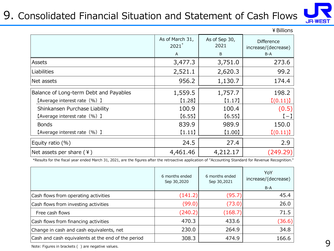### 9. Consolidated Financial Situation and Statement of Cash Flows



|                                        |                             |                       | ¥ Billions                               |
|----------------------------------------|-----------------------------|-----------------------|------------------------------------------|
|                                        | As of March 31,<br>$2021^*$ | As of Sep 30,<br>2021 | <b>Difference</b><br>increase/(decrease) |
|                                        | $\mathsf{A}$                | B                     | B-A                                      |
| Assets                                 | 3,477.3                     | 3,751.0               | 273.6                                    |
| Liabilities                            | 2,521.1                     | 2,620.3               | 99.2                                     |
| Net assets                             | 956.2                       | 1,130.7               | 174.4                                    |
| Balance of Long-term Debt and Payables | 1,559.5                     | 1,757.7               | 198.2                                    |
| [Average interest rate (%) ]           | [1.28]                      | (1.17)                | [(0.11)]                                 |
| Shinkansen Purchase Liability          | 100.9                       | 100.4                 | (0.5)                                    |
| [Average interest rate (%) ]           | [6.55]                      | [6.55]                | $[-]$                                    |
| <b>Bonds</b>                           | 839.9                       | 989.9                 | 150.0                                    |
| [Average interest rate (%) ]           | (1.11)                      | (1.00)                | [(0.11)]                                 |
| Equity ratio (%)                       | 24.5                        | 27.4                  | 2.9                                      |
| Net assets per share $(4)$             | 4,461.46                    | 4,212.17              | (249.29)                                 |

\*Results for the fiscal year ended March 31, 2021, are the figures after the retroactive application of "Accounting Standard for Revenue Recognition."

|                                                    | 6 months ended<br>Sep 30,2020 | 6 months ended<br>Sep 30,2021 | YoY<br>increase/(decrease)<br>$B-A$ |
|----------------------------------------------------|-------------------------------|-------------------------------|-------------------------------------|
| Cash flows from operating activities               | (141.2)                       | (95.7)                        | 45.4                                |
| Cash flows from investing activities               | (99.0)                        | (73.0)                        | 26.0                                |
| Free cash flows                                    | (240.2)                       | (168.7)                       | 71.5                                |
| Cash flows from financing activities               | 470.3                         | 433.6                         | (36.6)                              |
| Change in cash and cash equivalents, net           | 230.0                         | 264.9                         | 34.8                                |
| Cash and cash equivalents at the end of the period | 308.3                         | 474.9                         | 166.6                               |

Note: Figures in brackets ( ) are negative values.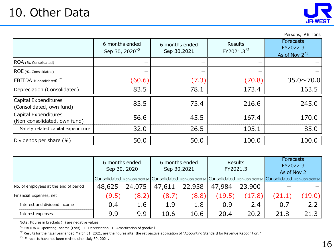Persons, ¥Billions

|                                                      | 6 months ended             | 6 months ended | Results                | <b>Forecasts</b><br>FY2022.3 |
|------------------------------------------------------|----------------------------|----------------|------------------------|------------------------------|
|                                                      | Sep 30, 2020 <sup>*2</sup> | Sep 30,2021    | FY2021.3 <sup>*2</sup> | As of Nov $2^{*3}$           |
| ROA (%, Consolidated)                                |                            |                |                        |                              |
| ROE (%, Consolidated)                                |                            |                |                        |                              |
| EBITDA (Consolidated) *1                             | (60.6)                     | (7.3)          | (70.8)                 | $35.0 \times 70.0$           |
| Depreciation (Consolidated)                          | 83.5                       | 78.1           | 173.4                  | 163.5                        |
| Capital Expenditures<br>(Consolidated, own fund)     | 83.5                       | 73.4           | 216.6                  | 245.0                        |
| Capital Expenditures<br>(Non-consolidated, own fund) | 56.6                       | 45.5           | 167.4                  | 170.0                        |

9.9 9.9 10.6 10.6 20.4 20.2 21.8 21.3

50.0 50.0 100.0 100.0

 $32.0$  26.5  $105.1$  85.0

|                                       | 6 months ended<br>Sep 30, 2020 |        |        | 6 months ended<br>Sep 30,2021                                                                                                                                                                                                  | FY2021.3 | <b>Results</b> | Forecasts<br>FY2022.3<br>As of Nov 2 |        |
|---------------------------------------|--------------------------------|--------|--------|--------------------------------------------------------------------------------------------------------------------------------------------------------------------------------------------------------------------------------|----------|----------------|--------------------------------------|--------|
|                                       |                                |        |        | Consolidated   Non-Consolidated   Consolidated   Non-Consolidated   Consolidated   Non-Consolidated   Consolidated   Non-Consolidated   Non-Consolidated   Non-Consolidated   Non-Consolidated   Non-Consolidated   Non-Consol |          |                |                                      |        |
| No. of employees at the end of period | 48,625                         | 24,075 | 47,611 | 22,958                                                                                                                                                                                                                         | 47,984   | 23,900         | –                                    |        |
| Financial Expenses, net               | (9.5)                          | (8.2)  | (8.7)  | (8.8)                                                                                                                                                                                                                          | (19.5)   | (17.8)         | (21.1)                               | (19.0) |
| Interest and dividend income          | 0.4                            | 1.6    | 1.9    | 1.8                                                                                                                                                                                                                            | 0.9      | 2.4            | 0.7                                  | つつ     |

Note: Figures in brackets ( ) are negative values.

Safety related capital expenditure

Dividends per share (¥)

Interest expenses

Interest expenses<br>
Note: Figures in brackets ( ) are negative values.<br>
\*<sup>1</sup> EBITDA = Operating Income (Loss) + Depreciation<br>
\*<sup>2</sup> Results for the fiscal year ended March 31, 2021, are<br>
\*<sup>3</sup> Forecasts have not been revised Therest and dividend income<br>
Interest expenses<br>
Note: Figures in brackets ( ) are negative values.<br>
\*1 EBITDA = Operating Income (Loss) + Depreciation + Amortization of goodwill

The text expenses<br>
Therest expenses<br>
Note: Figures in brackets ( ) are negative values.<br>
<sup>\*1</sup> EBITDA = Operating Income (Loss) + Depreciation + Amortization of goodwill<br>
<sup>\*2</sup> Results for the fiscal year ended March 31, 202